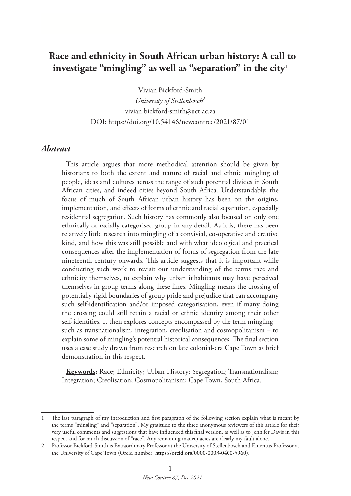# **Race and ethnicity in South African urban history: A call to investigate "mingling" as well as "separation" in the city**<sup>1</sup>

Vivian Bickford-Smith

*University of Stellenbosch*<sup>2</sup> vivian.bickford-smith@uct.ac.za DOI: https://doi.org/10.54146/newcontree/2021/87/01

#### *Abstract*

This article argues that more methodical attention should be given by historians to both the extent and nature of racial and ethnic mingling of people, ideas and cultures across the range of such potential divides in South African cities, and indeed cities beyond South Africa. Understandably, the focus of much of South African urban history has been on the origins, implementation, and effects of forms of ethnic and racial separation, especially residential segregation. Such history has commonly also focused on only one ethnically or racially categorised group in any detail. As it is, there has been relatively little research into mingling of a convivial, co-operative and creative kind, and how this was still possible and with what ideological and practical consequences after the implementation of forms of segregation from the late nineteenth century onwards. This article suggests that it is important while conducting such work to revisit our understanding of the terms race and ethnicity themselves, to explain why urban inhabitants may have perceived themselves in group terms along these lines. Mingling means the crossing of potentially rigid boundaries of group pride and prejudice that can accompany such self-identification and/or imposed categorisation, even if many doing the crossing could still retain a racial or ethnic identity among their other self-identities. It then explores concepts encompassed by the term mingling – such as transnationalism, integration, creolisation and cosmopolitanism – to explain some of mingling's potential historical consequences. The final section uses a case study drawn from research on late colonial-era Cape Town as brief demonstration in this respect.

**Keywords:** Race; Ethnicity; Urban History; Segregation; Transnationalism; Integration; Creolisation; Cosmopolitanism; Cape Town, South Africa.

<sup>1</sup> The last paragraph of my introduction and first paragraph of the following section explain what is meant by the terms "mingling" and "separation". My gratitude to the three anonymous reviewers of this article for their very useful comments and suggestions that have influenced this final version, as well as to Jennifer Davis in this respect and for much discussion of "race". Any remaining inadequacies are clearly my fault alone.

<sup>2</sup> Professor Bickford-Smith is Extraordinary Professor at the University of Stellenbosch and Emeritus Professor at the University of Cape Town (Orcid number: https://orcid.org/0000-0003-0400-5960).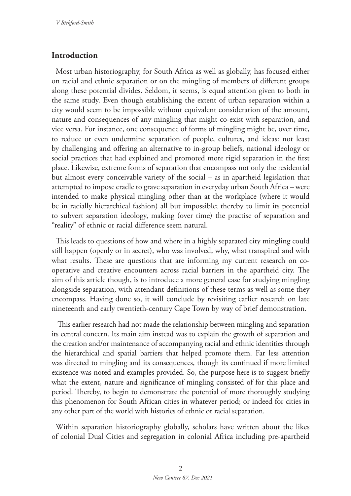#### **Introduction**

Most urban historiography, for South Africa as well as globally, has focused either on racial and ethnic separation or on the mingling of members of different groups along these potential divides. Seldom, it seems, is equal attention given to both in the same study. Even though establishing the extent of urban separation within a city would seem to be impossible without equivalent consideration of the amount, nature and consequences of any mingling that might co-exist with separation, and vice versa. For instance, one consequence of forms of mingling might be, over time, to reduce or even undermine separation of people, cultures, and ideas: not least by challenging and offering an alternative to in-group beliefs, national ideology or social practices that had explained and promoted more rigid separation in the first place. Likewise, extreme forms of separation that encompass not only the residential but almost every conceivable variety of the social – as in apartheid legislation that attempted to impose cradle to grave separation in everyday urban South Africa – were intended to make physical mingling other than at the workplace (where it would be in racially hierarchical fashion) all but impossible; thereby to limit its potential to subvert separation ideology, making (over time) the practise of separation and "reality" of ethnic or racial difference seem natural.

This leads to questions of how and where in a highly separated city mingling could still happen (openly or in secret), who was involved, why, what transpired and with what results. These are questions that are informing my current research on cooperative and creative encounters across racial barriers in the apartheid city. The aim of this article though, is to introduce a more general case for studying mingling alongside separation, with attendant definitions of these terms as well as some they encompass. Having done so, it will conclude by revisiting earlier research on late nineteenth and early twentieth-century Cape Town by way of brief demonstration.

 This earlier research had not made the relationship between mingling and separation its central concern. Its main aim instead was to explain the growth of separation and the creation and/or maintenance of accompanying racial and ethnic identities through the hierarchical and spatial barriers that helped promote them. Far less attention was directed to mingling and its consequences, though its continued if more limited existence was noted and examples provided. So, the purpose here is to suggest briefly what the extent, nature and significance of mingling consisted of for this place and period. Thereby, to begin to demonstrate the potential of more thoroughly studying this phenomenon for South African cities in whatever period; or indeed for cities in any other part of the world with histories of ethnic or racial separation.

Within separation historiography globally, scholars have written about the likes of colonial Dual Cities and segregation in colonial Africa including pre-apartheid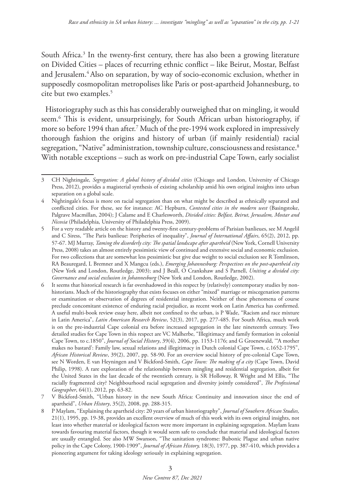South Africa.3 In the twenty-first century, there has also been a growing literature on Divided Cities – places of recurring ethnic conflict – like Beirut, Mostar, Belfast and Jerusalem.<sup>4</sup> Also on separation, by way of socio-economic exclusion, whether in supposedly cosmopolitan metropolises like Paris or post-apartheid Johannesburg, to cite but two examples.5

Historiography such as this has considerably outweighed that on mingling, it would seem.6 This is evident, unsurprisingly, for South African urban historiography, if more so before 1994 than after.7 Much of the pre-1994 work explored in impressively thorough fashion the origins and history of urban (if mainly residential) racial segregation, "Native" administration, township culture, consciousness and resistance.<sup>8</sup> With notable exceptions – such as work on pre-industrial Cape Town, early socialist

<sup>3</sup> CH Nightingale*, Segregation: A global history of divided cities* (Chicago and London, University of Chicago Press, 2012), provides a magisterial synthesis of existing scholarship amid his own original insights into urban separation on a global scale.

<sup>4</sup> Nightingale's focus is more on racial segregation than on what might be described as ethnically separated and conflicted cities. For these, see for instance: AC Hepburn, *Contested cities in the modern west* (Basingstoke, Palgrave Macmillan, 2004); J Calame and E Charlesworth, *Divided cities: Belfast, Beirut, Jerusalem, Mostar and Nicosia* (Philadelphia, University of Philadelphia Press, 2009).

<sup>5</sup> For a very readable article on the history and twenty-first century-problems of Parisian banlieues, see M Angelil and C Siress, "The Paris banlieue: Peripheries of inequality", *Journal of International Affairs*, 65(2), 2012, pp. 57-67. MJ Murray, *Taming the disorderly city: The spatial landscape after apartheid* (New York, Cornell University Press, 2008) takes an almost entirely pessimistic view of continued and extensive social and economic exclusion. For two collections that are somewhat less pessimistic but give due weight to social exclusion see R Tomlinson, RA Beauregard, L Bremner and X Mangcu (eds.), *Emerging Johannesburg: Perspectives on the post-apartheid city* (New York and London, Routledge, 2003); and J Beall, O Crankshaw and S Parnell, *Uniting a divided city: Governance and social exclusion in Johannesburg* (New York and London, Routledge, 2002).

<sup>6</sup> It seems that historical research is far overshadowed in this respect by (relatively) contemporary studies by nonhistorians. Much of the historiography that exists focuses on either "mixed" marriage or miscegenation patterns or examination or observation of degrees of residential integration. Neither of these phenomena of course preclude concomitant existence of enduring racial prejudice, as recent work on Latin America has confirmed. A useful multi-book review essay here, albeit not confined to the urban, is P Wade, "Racism and race mixture in Latin America", *Latin American Research Review*, 52(3), 2017, pp. 277-485. For South Africa, much work is on the pre-industrial Cape colonial era before increased segregation in the late nineteenth century. Two detailed studies for Cape Town in this respect are VC Malherbe, "Illegitimacy and family formation in colonial Cape Town, to c.1850", *Journal of Social History*, 39(4), 2006, pp. 1153-1176; and G Groenewald, '"A mother makes no bastard': Family law, sexual relations and illegitimacy in Dutch colonial Cape Town, c.1652-1795", *African Historical Review*, 39(2), 2007, pp. 58-90. For an overview social history of pre-colonial Cape Town, see N Worden, E van Heyningen and V Bickford-Smith, *Cape Town: The making of a city* (Cape Town, David Philip, 1998). A rare exploration of the relationship between mingling and residential segregation, albeit for the United States in the last decade of the twentieth century, is SR Holloway, R Wright and M Ellis, "The racially fragmented city? Neighbourhood racial segregation and diversity jointly considered", *The Professional Geographer*, 64(1), 2012, pp. 63-82.

<sup>7</sup> V Bickford-Smith, "Urban history in the new South Africa: Continuity and innovation since the end of apartheid", *Urban History*, 35(2), 2008, pp. 288-315.

<sup>8</sup> P Maylam, "Explaining the apartheid city: 20 years of urban historiography", *Journal of Southern African Studies,* 21(1), 1995, pp. 19-38, provides an excellent overview of much of this work with its own original insights, not least into whether material or ideological factors were more important in explaining segregation. Maylam leans towards favouring material factors, though it would seem safe to conclude that material and ideological factors are usually entangled. See also MW Swanson, "The sanitation syndrome: Bubonic Plague and urban native policy in the Cape Colony, 1900-1909", *Journal of African History,* 18(3), 1977, pp. 387-410, which provides a pioneering argument for taking ideology seriously in explaining segregation.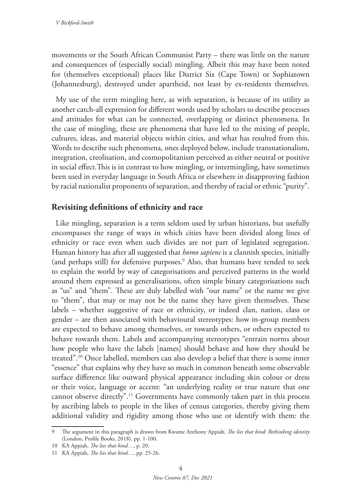movements or the South African Communist Party – there was little on the nature and consequences of (especially social) mingling. Albeit this may have been noted for (themselves exceptional) places like District Six (Cape Town) or Sophiatown (Johannesburg), destroyed under apartheid, not least by ex-residents themselves.

My use of the term mingling here, as with separation, is because of its utility as another catch-all expression for different words used by scholars to describe processes and attitudes for what can be connected, overlapping or distinct phenomena. In the case of mingling, these are phenomena that have led to the mixing of people, cultures, ideas, and material objects within cities, and what has resulted from this. Words to describe such phenomena, ones deployed below, include transnationalism, integration, creolisation, and cosmopolitanism perceived as either neutral or positive in social effect.This is in contrast to how mingling, or intermingling, have sometimes been used in everyday language in South Africa or elsewhere in disapproving fashion by racial nationalist proponents of separation, and thereby of racial or ethnic "purity".

### **Revisiting definitions of ethnicity and race**

Like mingling, separation is a term seldom used by urban historians, but usefully encompasses the range of ways in which cities have been divided along lines of ethnicity or race even when such divides are not part of legislated segregation. Human history has after all suggested that *homo sapiens* is a clannish species, initially (and perhaps still) for defensive purposes.<sup>9</sup> Also, that humans have tended to seek to explain the world by way of categorisations and perceived patterns in the world around them expressed as generalisations, often simple binary categorisations such as "us" and "them". These are duly labelled with "our name" or the name we give to "them", that may or may not be the name they have given themselves. These labels – whether suggestive of race or ethnicity, or indeed clan, nation, class or gender – are then associated with behavioural stereotypes: how in-group members are expected to behave among themselves, or towards others, or others expected to behave towards them. Labels and accompanying stereotypes "entrain norms about how people who have the labels [names] should behave and how they should be treated".10 Once labelled, members can also develop a belief that there is some inner "essence" that explains why they have so much in common beneath some observable surface difference like outward physical appearance including skin colour or dress or their voice, language or accent: "an underlying reality or true nature that one cannot observe directly".11 Governments have commonly taken part in this process by ascribing labels to people in the likes of census categories, thereby giving them additional validity and rigidity among those who use or identify with them: the

<sup>9</sup> The argument in this paragraph is drawn from Kwame Anthony Appiah, *The lies that bind: Rethinking identity* (London, Profile Books, 2018), pp. 1-100.

<sup>10</sup> KA Appiah, *The lies that bind…*, p. 20.

<sup>11</sup> KA Appiah, *The lies that bind…*, pp. 25-26.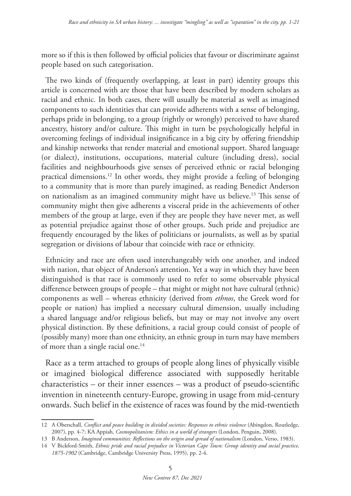more so if this is then followed by official policies that favour or discriminate against people based on such categorisation.

The two kinds of (frequently overlapping, at least in part) identity groups this article is concerned with are those that have been described by modern scholars as racial and ethnic. In both cases, there will usually be material as well as imagined components to such identities that can provide adherents with a sense of belonging, perhaps pride in belonging, to a group (rightly or wrongly) perceived to have shared ancestry, history and/or culture. This might in turn be psychologically helpful in overcoming feelings of individual insignificance in a big city by offering friendship and kinship networks that render material and emotional support. Shared language (or dialect), institutions, occupations, material culture (including dress), social facilities and neighbourhoods give senses of perceived ethnic or racial belonging practical dimensions.12 In other words, they might provide a feeling of belonging to a community that is more than purely imagined, as reading Benedict Anderson on nationalism as an imagined community might have us believe.<sup>13</sup> This sense of community might then give adherents a visceral pride in the achievements of other members of the group at large, even if they are people they have never met, as well as potential prejudice against those of other groups. Such pride and prejudice are frequently encouraged by the likes of politicians or journalists, as well as by spatial segregation or divisions of labour that coincide with race or ethnicity.

Ethnicity and race are often used interchangeably with one another, and indeed with nation, that object of Anderson's attention. Yet a way in which they have been distinguished is that race is commonly used to refer to some observable physical difference between groups of people – that might or might not have cultural (ethnic) components as well – whereas ethnicity (derived from *ethnos*, the Greek word for people or nation) has implied a necessary cultural dimension, usually including a shared language and/or religious beliefs, but may or may not involve any overt physical distinction. By these definitions, a racial group could consist of people of (possibly many) more than one ethnicity, an ethnic group in turn may have members of more than a single racial one.<sup>14</sup>

Race as a term attached to groups of people along lines of physically visible or imagined biological difference associated with supposedly heritable characteristics – or their inner essences – was a product of pseudo-scientific invention in nineteenth century-Europe, growing in usage from mid-century onwards. Such belief in the existence of races was found by the mid-twentieth

<sup>12</sup> A Oberschall, *Conflict and peace building in divided societies: Responses to ethnic violence* (Abingdon, Routledge, 2007), pp. 4-7; KA Appiah, *Cosmopolitanism: Ethics in a world of strangers* (London, Penguin, 2008).

<sup>13</sup> B Anderson, *Imagined communities: Reflections on the origin and spread of nationalism* (London, Verso, 1983).

<sup>14</sup> V Bickford-Smith, *Ethnic pride and racial prejudice in Victorian Cape Town: Group identity and social practice, 1875-1902* (Cambridge, Cambridge University Press, 1995), pp. 2-4.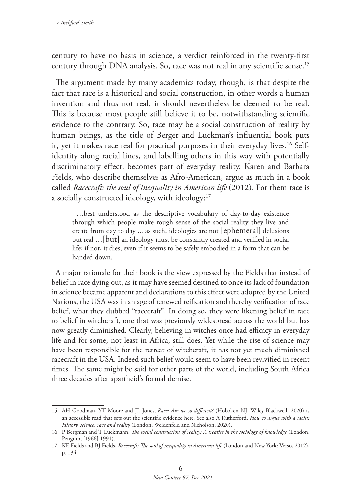century to have no basis in science, a verdict reinforced in the twenty-first century through DNA analysis. So, race was not real in any scientific sense.15

The argument made by many academics today, though, is that despite the fact that race is a historical and social construction, in other words a human invention and thus not real, it should nevertheless be deemed to be real. This is because most people still believe it to be, notwithstanding scientific evidence to the contrary. So, race may be a social construction of reality by human beings, as the title of Berger and Luckman's influential book puts it, yet it makes race real for practical purposes in their everyday lives.<sup>16</sup> Selfidentity along racial lines, and labelling others in this way with potentially discriminatory effect, becomes part of everyday reality. Karen and Barbara Fields, who describe themselves as Afro-American, argue as much in a book called *Racecraft: the soul of inequality in American life* (2012). For them race is a socially constructed ideology, with ideology:17

…best understood as the descriptive vocabulary of day-to-day existence through which people make rough sense of the social reality they live and create from day to day ... as such, ideologies are not [ephemeral] delusions but real …[but] an ideology must be constantly created and verified in social life; if not, it dies, even if it seems to be safely embodied in a form that can be handed down.

A major rationale for their book is the view expressed by the Fields that instead of belief in race dying out, as it may have seemed destined to once its lack of foundation in science became apparent and declarations to this effect were adopted by the United Nations, the USA was in an age of renewed reification and thereby verification of race belief, what they dubbed "racecraft". In doing so, they were likening belief in race to belief in witchcraft, one that was previously widespread across the world but has now greatly diminished. Clearly, believing in witches once had efficacy in everyday life and for some, not least in Africa, still does. Yet while the rise of science may have been responsible for the retreat of witchcraft, it has not yet much diminished racecraft in the USA. Indeed such belief would seem to have been revivified in recent times. The same might be said for other parts of the world, including South Africa three decades after apartheid's formal demise.

<sup>15</sup> AH Goodman, YT Moore and JL Jones, *Race: Are we so different?* (Hoboken NJ, Wiley Blackwell, 2020) is an accessible read that sets out the scientific evidence here. See also A Rutherford, *How to argue with a racist: History, science, race and reality* (London, Weidenfeld and Nicholson, 2020).

<sup>16</sup> P Bergman and T Luckmann, *The social construction of reality: A treatise in the sociology of knowledge* (London, Penguin, [1966] 1991).

<sup>17</sup> KE Fields and BJ Fields, *Racecraft: The soul of inequality in American life* (London and New York: Verso, 2012), p. 134.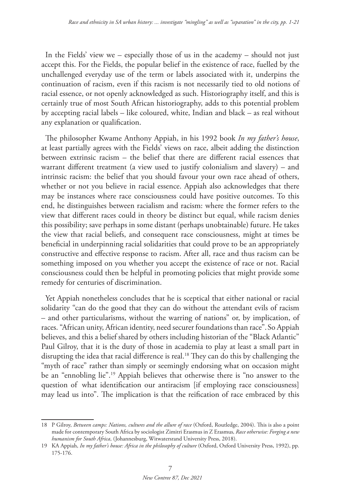In the Fields' view we – especially those of us in the academy – should not just accept this. For the Fields, the popular belief in the existence of race, fuelled by the unchallenged everyday use of the term or labels associated with it, underpins the continuation of racism, even if this racism is not necessarily tied to old notions of racial essence, or not openly acknowledged as such. Historiography itself, and this is certainly true of most South African historiography, adds to this potential problem by accepting racial labels – like coloured, white, Indian and black – as real without any explanation or qualification.

The philosopher Kwame Anthony Appiah, in his 1992 book *In my father's house*, at least partially agrees with the Fields' views on race, albeit adding the distinction between extrinsic racism – the belief that there are different racial essences that warrant different treatment (a view used to justify colonialism and slavery) – and intrinsic racism: the belief that you should favour your own race ahead of others, whether or not you believe in racial essence. Appiah also acknowledges that there may be instances where race consciousness could have positive outcomes. To this end, he distinguishes between racialism and racism: where the former refers to the view that different races could in theory be distinct but equal, while racism denies this possibility; save perhaps in some distant (perhaps unobtainable) future. He takes the view that racial beliefs, and consequent race consciousness, might at times be beneficial in underpinning racial solidarities that could prove to be an appropriately constructive and effective response to racism. After all, race and thus racism can be something imposed on you whether you accept the existence of race or not. Racial consciousness could then be helpful in promoting policies that might provide some remedy for centuries of discrimination.

Yet Appiah nonetheless concludes that he is sceptical that either national or racial solidarity "can do the good that they can do without the attendant evils of racism – and other particularisms, without the warring of nations" or, by implication, of races. "African unity, African identity, need securer foundations than race".So Appiah believes, and this a belief shared by others including historian of the "Black Atlantic" Paul Gilroy, that it is the duty of those in academia to play at least a small part in disrupting the idea that racial difference is real.<sup>18</sup> They can do this by challenging the "myth of race" rather than simply or seemingly endorsing what on occasion might be an "ennobling lie".19 Appiah believes that otherwise there is "no answer to the question of what identification our antiracism [if employing race consciousness] may lead us into". The implication is that the reification of race embraced by this

<sup>18</sup> P Gilroy, *Between camps: Nations, cultures and the allure of race* (Oxford, Routledge, 2004). This is also a point made for contemporary South Africa by sociologist Zimitri Erasmus in Z Erasmus*, Race otherwise: Forging a new humanism for South Africa*, (Johannesburg, Witwatersrand University Press, 2018).

<sup>19</sup> KA Appiah, *In my father's house: Africa in the philosophy of culture* (Oxford, Oxford University Press, 1992), pp. 175-176.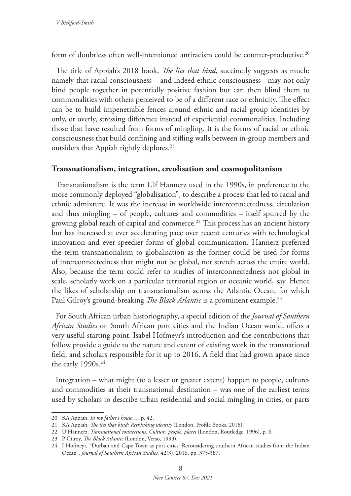form of doubtless often well-intentioned antiracism could be counter-productive.20

The title of Appiah's 2018 book, *The lies that bind*, succinctly suggests as much: namely that racial consciousness – and indeed ethnic consciousness - may not only bind people together in potentially positive fashion but can then blind them to commonalities with others perceived to be of a different race or ethnicity. The effect can be to build impenetrable fences around ethnic and racial group identities by only, or overly, stressing difference instead of experiential commonalities. Including those that have resulted from forms of mingling. It is the forms of racial or ethnic consciousness that build confining and stifling walls between in-group members and outsiders that Appiah rightly deplores.<sup>21</sup>

#### **Transnationalism, integration, creolisation and cosmopolitanism**

Transnationalism is the term Ulf Hannerz used in the 1990s, in preference to the more commonly deployed "globalisation", to describe a process that led to racial and ethnic admixture. It was the increase in worldwide interconnectedness, circulation and thus mingling – of people, cultures and commodities – itself spurred by the growing global reach of capital and commerce.<sup>22</sup> This process has an ancient history but has increased at ever accelerating pace over recent centuries with technological innovation and ever speedier forms of global communication. Hannerz preferred the term transnationalism to globalisation as the former could be used for forms of interconnectedness that might not be global, not stretch across the entire world. Also, because the term could refer to studies of interconnectedness not global in scale, scholarly work on a particular territorial region or oceanic world, say. Hence the likes of scholarship on transnationalism across the Atlantic Ocean, for which Paul Gilroy's ground-breaking *The Black Atlantic* is a prominent example.<sup>23</sup>

For South African urban historiography, a special edition of the *Journal of Southern African Studies* on South African port cities and the Indian Ocean world, offers a very useful starting point. Isabel Hofmeyr's introduction and the contributions that follow provide a guide to the nature and extent of existing work in the transnational field, and scholars responsible for it up to 2016. A field that had grown apace since the early 1990s.<sup>24</sup>

Integration – what might (to a lesser or greater extent) happen to people, cultures and commodities at their transnational destination – was one of the earliest terms used by scholars to describe urban residential and social mingling in cities, or parts

<sup>20</sup> KA Appiah, *In my father's house…*, p. 42.

<sup>21</sup> KA Appiah, *The lies that bind: Rethinking identity* (London, Profile Books, 2018).

<sup>22</sup> U Hannerz, *Transnational connections: Culture, people, places* (London, Routledge, 1996), p. 6.

<sup>23</sup> P Gilroy, *The Black Atlantic* (London, Verso, 1993).

<sup>24</sup> I Hofmeyr, "Durban and Cape Town as port cities: Reconsidering southern African studies from the Indian Ocean", *Journal of Southern African Studies,* 42(3), 2016, pp. 375-387.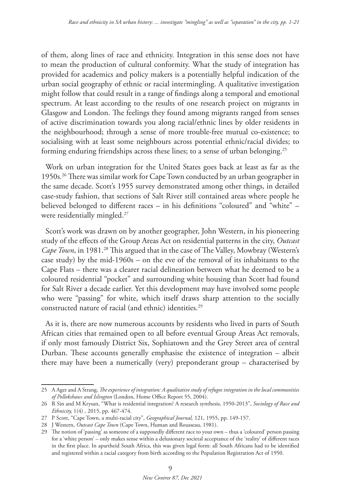of them, along lines of race and ethnicity. Integration in this sense does not have to mean the production of cultural conformity. What the study of integration has provided for academics and policy makers is a potentially helpful indication of the urban social geography of ethnic or racial intermingling. A qualitative investigation might follow that could result in a range of findings along a temporal and emotional spectrum. At least according to the results of one research project on migrants in Glasgow and London. The feelings they found among migrants ranged from senses of active discrimination towards you along racial/ethnic lines by older residents in the neighbourhood; through a sense of more trouble-free mutual co-existence; to socialising with at least some neighbours across potential ethnic/racial divides; to forming enduring friendships across these lines; to a sense of urban belonging.25

Work on urban integration for the United States goes back at least as far as the 1950s.26 There was similar work for Cape Town conducted by an urban geographer in the same decade. Scott's 1955 survey demonstrated among other things, in detailed case-study fashion, that sections of Salt River still contained areas where people he believed belonged to different races – in his definitions "coloured" and "white" – were residentially mingled.<sup>27</sup>

Scott's work was drawn on by another geographer, John Western, in his pioneering study of the effects of the Group Areas Act on residential patterns in the city, *Outcast Cape Town*, in 1981.28 This argued that in the case of The Valley, Mowbray (Western's case study) by the mid-1960s – on the eve of the removal of its inhabitants to the Cape Flats – there was a clearer racial delineation between what he deemed to be a coloured residential "pocket" and surrounding white housing than Scott had found for Salt River a decade earlier. Yet this development may have involved some people who were "passing" for white, which itself draws sharp attention to the socially constructed nature of racial (and ethnic) identities.<sup>29</sup>

As it is, there are now numerous accounts by residents who lived in parts of South African cities that remained open to all before eventual Group Areas Act removals, if only most famously District Six, Sophiatown and the Grey Street area of central Durban. These accounts generally emphasise the existence of integration – albeit there may have been a numerically (very) preponderant group – characterised by

<sup>25</sup> A Ager and A Strang, *The experience of integration: A qualitative study of refugee integration in the local communities of Pollokshaws and Islington* (London, Home Office Report 55, 2004).

<sup>26</sup> R Sin and M Krysan, "What is residential integration? A research synthesis, 1950-2013", *Sociology of Race and Ethnicity,* 1(4) , 2015, pp. 467-474.

<sup>27</sup> P Scott, "Cape Town, a multi-racial city", *Geographical Journal,* 121, 1955, pp. 149-157.

<sup>28</sup> J Western, *Outcast Cape Town* (Cape Town, Human and Rousseau, 1981).

<sup>29</sup> The notion of 'passing' as someone of a supposedly different race to your own – thus a 'coloured' person passing for a 'white person' – only makes sense within a delusionary societal acceptance of the 'reality' of different races in the first place. In apartheid South Africa, this was given legal form: all South Africans had to be identified and registered within a racial category from birth according to the Population Registration Act of 1950.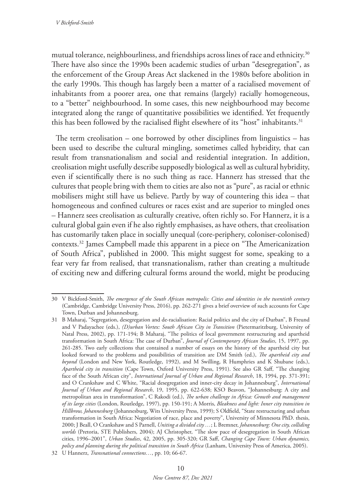mutual tolerance, neighbourliness, and friendships across lines of race and ethnicity.<sup>30</sup> There have also since the 1990s been academic studies of urban "desegregation", as the enforcement of the Group Areas Act slackened in the 1980s before abolition in the early 1990s. This though has largely been a matter of a racialised movement of inhabitants from a poorer area, one that remains (largely) racially homogeneous, to a "better" neighbourhood. In some cases, this new neighbourhood may become integrated along the range of quantitative possibilities we identified. Yet frequently this has been followed by the racialised flight elsewhere of its "host" inhabitants.<sup>31</sup>

The term creolisation – one borrowed by other disciplines from linguistics – has been used to describe the cultural mingling, sometimes called hybridity, that can result from transnationalism and social and residential integration. In addition, creolisation might usefully describe supposedly biological as well as cultural hybridity, even if scientifically there is no such thing as race. Hannerz has stressed that the cultures that people bring with them to cities are also not as "pure", as racial or ethnic mobilisers might still have us believe. Partly by way of countering this idea – that homogeneous and confined cultures or races exist and are superior to mingled ones – Hannerz sees creolisation as culturally creative, often richly so. For Hannerz, it is a cultural global gain even if he also rightly emphasises, as have others, that creolisation has customarily taken place in socially unequal (core-periphery, coloniser-colonised) contexts.32 James Campbell made this apparent in a piece on "The Americanization of South Africa", published in 2000. This might suggest for some, speaking to a fear very far from realised, that transnationalism, rather than creating a multitude of exciting new and differing cultural forms around the world, might be producing

<sup>30</sup> V Bickford-Smith, *The emergence of the South African metropolis: Cities and identities in the twentieth century* (Cambridge, Cambridge University Press, 2016), pp. 262-271 gives a brief overview of such accounts for Cape Town, Durban and Johannesburg.

<sup>31</sup> B Maharaj, "Segregation, desegregation and de-racialisation: Racial politics and the city of Durban", B Freund and V Padayachee (eds.), *(D)urban Vortex: South African City in Transition* (Pietermaritzburg, University of Natal Press, 2002), pp. 171-194; B Maharaj, "The politics of local government restructuring and apartheid transformation in South Africa: The case of Durban", *Journal of Contemporary African Studies*, 15, 1997, pp. 261-285. Two early collections that contained a number of essays on the history of the apartheid city but looked forward to the problems and possibilities of transition are DM Smith (ed.), *The apartheid city and beyond* (London and New York, Routledge, 1992), and M Swilling, R Humphries and K Shubane (eds.), *Apartheid city in transition* (Cape Town, Oxford University Press, 1991). See also GR Saff, "The changing face of the South African city", *International Journal of Urban and Regional Research*, 18, 1994, pp. 371-391; and O Crankshaw and C White, "Racial desegregation and inner-city decay in Johannesburg", *International Journal of Urban and Regional Research*, 19, 1995, pp. 622-638; KSO Beavon, "Johannesburg: A city and metropolitan area in transformation", C Rakodi (ed.), *The urban challenge in Africa: Growth and management of its large cities* (London, Routledge, 1997), pp. 150-191; A Morris, *Bleakness and light: Inner city transition in Hillbrow, Johannesburg* (Johannesburg, Wits University Press, 1999); S Oldfield, "State restructuring and urban transformation in South Africa: Negotiation of race, place and poverty", University of Minnesota PhD. thesis, 2000; J Beall, O Crankshaw and S Parnell, *Uniting a divided city …*; L Bremner, *Johannesburg: One city, colliding worlds* (Pretoria, STE Publishers, 2004); AJ Christopher, "The slow pace of desegregation in South African cities, 1996–2001", *Urban Studies*, 42, 2005, pp. 305-320; GR Saff, *Changing Cape Town: Urban dynamics, policy and planning during the political transition in South Africa* (Lanham, University Press of America, 2005).

<sup>32</sup> U Hannerz, *Transnational connections…*, pp. 10; 66-67.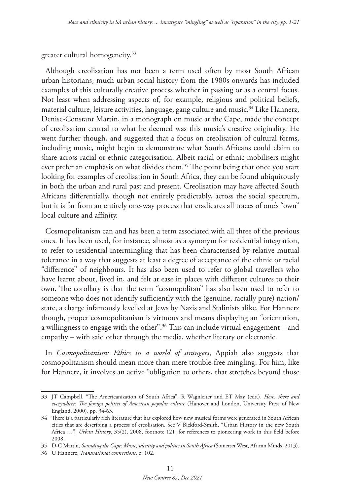greater cultural homogeneity.<sup>33</sup>

Although creolisation has not been a term used often by most South African urban historians, much urban social history from the 1980s onwards has included examples of this culturally creative process whether in passing or as a central focus. Not least when addressing aspects of, for example, religious and political beliefs, material culture, leisure activities, language, gang culture and music.<sup>34</sup> Like Hannerz, Denise-Constant Martin, in a monograph on music at the Cape, made the concept of creolisation central to what he deemed was this music's creative originality. He went further though, and suggested that a focus on creolisation of cultural forms, including music, might begin to demonstrate what South Africans could claim to share across racial or ethnic categorisation. Albeit racial or ethnic mobilisers might ever prefer an emphasis on what divides them.<sup>35</sup> The point being that once you start looking for examples of creolisation in South Africa, they can be found ubiquitously in both the urban and rural past and present. Creolisation may have affected South Africans differentially, though not entirely predictably, across the social spectrum, but it is far from an entirely one-way process that eradicates all traces of one's "own" local culture and affinity.

Cosmopolitanism can and has been a term associated with all three of the previous ones. It has been used, for instance, almost as a synonym for residential integration, to refer to residential intermingling that has been characterised by relative mutual tolerance in a way that suggests at least a degree of acceptance of the ethnic or racial "difference" of neighbours. It has also been used to refer to global travellers who have learnt about, lived in, and felt at ease in places with different cultures to their own. The corollary is that the term "cosmopolitan" has also been used to refer to someone who does not identify sufficiently with the (genuine, racially pure) nation/ state, a charge infamously levelled at Jews by Nazis and Stalinists alike. For Hannerz though, proper cosmopolitanism is virtuous and means displaying an "orientation, a willingness to engage with the other".36 This can include virtual engagement – and empathy – with said other through the media, whether literary or electronic.

In *Cosmopolitanism: Ethics in a world of strangers*, Appiah also suggests that cosmopolitanism should mean more than mere trouble-free mingling. For him, like for Hannerz, it involves an active "obligation to others, that stretches beyond those

<sup>33</sup> JT Campbell, "The Americanization of South Africa", R Wagnleiter and ET May (eds.), *Here, there and everywhere: The foreign politics of American popular culture* (Hanover and London, University Press of New England, 2000), pp. 34-63.

<sup>34</sup> There is a particularly rich literature that has explored how new musical forms were generated in South African cities that are describing a process of creolisation. See V Bickford-Smith, "Urban History in the new South Africa …", *Urban History*, 35(2), 2008, footnote 121, for references to pioneering work in this field before 2008.

<sup>35</sup> D-C Martin, *Sounding the Cape: Music, identity and politics in South Africa* (Somerset West, African Minds, 2013).

<sup>36</sup> U Hannerz, *Transnational connections*, p. 102.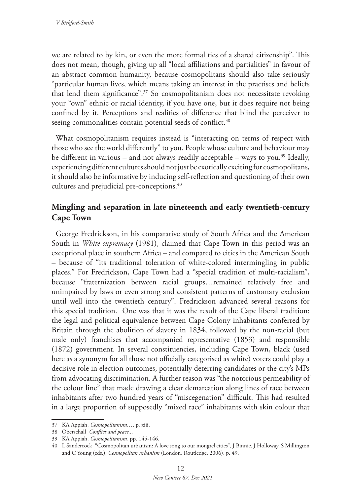we are related to by kin, or even the more formal ties of a shared citizenship". This does not mean, though, giving up all "local affiliations and partialities" in favour of an abstract common humanity, because cosmopolitans should also take seriously "particular human lives, which means taking an interest in the practises and beliefs that lend them significance".37 So cosmopolitanism does not necessitate revoking your "own" ethnic or racial identity, if you have one, but it does require not being confined by it. Perceptions and realities of difference that blind the perceiver to seeing commonalities contain potential seeds of conflict.<sup>38</sup>

What cosmopolitanism requires instead is "interacting on terms of respect with those who see the world differently" to you. People whose culture and behaviour may be different in various – and not always readily acceptable – ways to you.<sup>39</sup> Ideally, experiencing different cultures should not just be exotically exciting for cosmopolitans, it should also be informative by inducing self-reflection and questioning of their own cultures and prejudicial pre-conceptions.<sup>40</sup>

# **Mingling and separation in late nineteenth and early twentieth-century Cape Town**

George Fredrickson, in his comparative study of South Africa and the American South in *White supremacy* (1981), claimed that Cape Town in this period was an exceptional place in southern Africa – and compared to cities in the American South – because of "its traditional toleration of white-colored intermingling in public places." For Fredrickson, Cape Town had a "special tradition of multi-racialism", because "fraternization between racial groups…remained relatively free and unimpaired by laws or even strong and consistent patterns of customary exclusion until well into the twentieth century". Fredrickson advanced several reasons for this special tradition. One was that it was the result of the Cape liberal tradition: the legal and political equivalence between Cape Colony inhabitants conferred by Britain through the abolition of slavery in 1834, followed by the non-racial (but male only) franchises that accompanied representative (1853) and responsible (1872) government. In several constituencies, including Cape Town, black (used here as a synonym for all those not officially categorised as white) voters could play a decisive role in election outcomes, potentially deterring candidates or the city's MPs from advocating discrimination. A further reason was "the notorious permeability of the colour line" that made drawing a clear demarcation along lines of race between inhabitants after two hundred years of "miscegenation" difficult. This had resulted in a large proportion of supposedly "mixed race" inhabitants with skin colour that

<sup>37</sup> KA Appiah, *Cosmopolitanism…*, p. xiii.

<sup>38</sup> Oberschall, *Conflict and peace..*.

<sup>39</sup> KA Appiah, *Cosmopolitanism*, pp. 145-146.

<sup>40</sup> L Sandercock, "Cosmopolitan urbanism: A love song to our mongrel cities", J Binnie, J Holloway, S Millington and C Young (eds.), *Cosmopolitan urbanism* (London, Routledge, 2006), p. 49.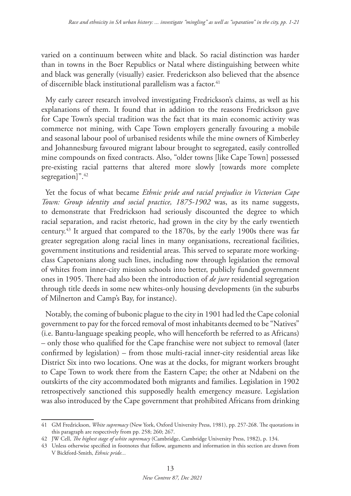varied on a continuum between white and black. So racial distinction was harder than in towns in the Boer Republics or Natal where distinguishing between white and black was generally (visually) easier. Frederickson also believed that the absence of discernible black institutional parallelism was a factor.<sup>41</sup>

My early career research involved investigating Fredrickson's claims, as well as his explanations of them. It found that in addition to the reasons Fredrickson gave for Cape Town's special tradition was the fact that its main economic activity was commerce not mining, with Cape Town employers generally favouring a mobile and seasonal labour pool of urbanised residents while the mine owners of Kimberley and Johannesburg favoured migrant labour brought to segregated, easily controlled mine compounds on fixed contracts. Also, "older towns [like Cape Town] possessed pre-existing racial patterns that altered more slowly [towards more complete segregation]".<sup>42</sup>

Yet the focus of what became *Ethnic pride and racial prejudice in Victorian Cape Town: Group identity and social practice, 1875-1902* was, as its name suggests, to demonstrate that Fredrickson had seriously discounted the degree to which racial separation, and racist rhetoric, had grown in the city by the early twentieth century.43 It argued that compared to the 1870s, by the early 1900s there was far greater segregation along racial lines in many organisations, recreational facilities, government institutions and residential areas. This served to separate more workingclass Capetonians along such lines, including now through legislation the removal of whites from inner-city mission schools into better, publicly funded government ones in 1905. There had also been the introduction of *de jure* residential segregation through title deeds in some new whites-only housing developments (in the suburbs of Milnerton and Camp's Bay, for instance).

Notably, the coming of bubonic plague to the city in 1901 had led the Cape colonial government to pay for the forced removal of most inhabitants deemed to be "Natives" (i.e. Bantu-language speaking people, who will henceforth be referred to as Africans) – only those who qualified for the Cape franchise were not subject to removal (later confirmed by legislation) – from those multi-racial inner-city residential areas like District Six into two locations. One was at the docks, for migrant workers brought to Cape Town to work there from the Eastern Cape; the other at Ndabeni on the outskirts of the city accommodated both migrants and families. Legislation in 1902 retrospectively sanctioned this supposedly health emergency measure. Legislation was also introduced by the Cape government that prohibited Africans from drinking

<sup>41</sup> GM Fredrickson, *White supremacy* (New York, Oxford University Press, 1981), pp. 257-268. The quotations in this paragraph are respectively from pp. 258; 260; 267.

<sup>42</sup> JW Cell, *The highest stage of white supremacy* (Cambridge, Cambridge University Press, 1982), p. 134.

<sup>43</sup> Unless otherwise specified in footnotes that follow, arguments and information in this section are drawn from V Bickford-Smith, *Ethnic pride..*.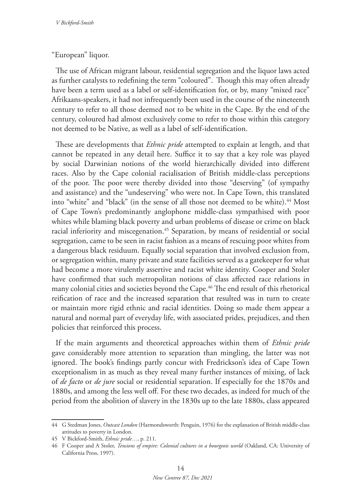#### "European" liquor.

The use of African migrant labour, residential segregation and the liquor laws acted as further catalysts to redefining the term "coloured". Though this may often already have been a term used as a label or self-identification for, or by, many "mixed race" Afrikaans-speakers, it had not infrequently been used in the course of the nineteenth century to refer to all those deemed not to be white in the Cape. By the end of the century, coloured had almost exclusively come to refer to those within this category not deemed to be Native, as well as a label of self-identification.

These are developments that *Ethnic pride* attempted to explain at length, and that cannot be repeated in any detail here. Suffice it to say that a key role was played by social Darwinian notions of the world hierarchically divided into different races. Also by the Cape colonial racialisation of British middle-class perceptions of the poor. The poor were thereby divided into those "deserving" (of sympathy and assistance) and the "undeserving" who were not. In Cape Town, this translated into "white" and "black" (in the sense of all those not deemed to be white).<sup>44</sup> Most of Cape Town's predominantly anglophone middle-class sympathised with poor whites while blaming black poverty and urban problems of disease or crime on black racial inferiority and miscegenation.<sup>45</sup> Separation, by means of residential or social segregation, came to be seen in racist fashion as a means of rescuing poor whites from a dangerous black residuum. Equally social separation that involved exclusion from, or segregation within, many private and state facilities served as a gatekeeper for what had become a more virulently assertive and racist white identity. Cooper and Stoler have confirmed that such metropolitan notions of class affected race relations in many colonial cities and societies beyond the Cape.<sup>46</sup> The end result of this rhetorical reification of race and the increased separation that resulted was in turn to create or maintain more rigid ethnic and racial identities. Doing so made them appear a natural and normal part of everyday life, with associated prides, prejudices, and then policies that reinforced this process.

If the main arguments and theoretical approaches within them of *Ethnic pride* gave considerably more attention to separation than mingling, the latter was not ignored. The book's findings partly concur with Fredrickson's idea of Cape Town exceptionalism in as much as they reveal many further instances of mixing, of lack of *de facto* or *de jure* social or residential separation. If especially for the 1870s and 1880s, and among the less well off. For these two decades, as indeed for much of the period from the abolition of slavery in the 1830s up to the late 1880s, class appeared

<sup>44</sup> G Stedman Jones, *Outcast London* (Harmondsworth: Penguin, 1976) for the explanation of British middle-class attitudes to poverty in London.

<sup>45</sup> V Bickford-Smith, *Ethnic pride…*, p. 211.

<sup>46</sup> F Cooper and A Stoler, *Tensions of empire: Colonial cultures in a bourgeois world* (Oakland, CA: University of California Press, 1997).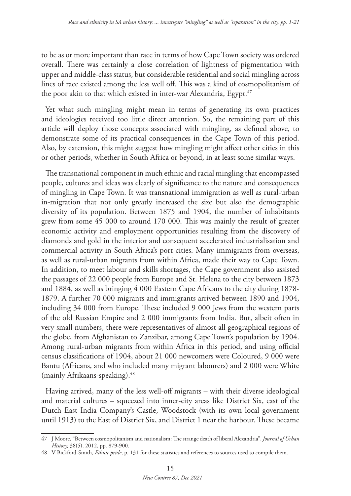to be as or more important than race in terms of how Cape Town society was ordered overall. There was certainly a close correlation of lightness of pigmentation with upper and middle-class status, but considerable residential and social mingling across lines of race existed among the less well off. This was a kind of cosmopolitanism of the poor akin to that which existed in inter-war Alexandria, Egypt. $47$ 

Yet what such mingling might mean in terms of generating its own practices and ideologies received too little direct attention. So, the remaining part of this article will deploy those concepts associated with mingling, as defined above, to demonstrate some of its practical consequences in the Cape Town of this period. Also, by extension, this might suggest how mingling might affect other cities in this or other periods, whether in South Africa or beyond, in at least some similar ways.

The transnational component in much ethnic and racial mingling that encompassed people, cultures and ideas was clearly of significance to the nature and consequences of mingling in Cape Town. It was transnational immigration as well as rural-urban in-migration that not only greatly increased the size but also the demographic diversity of its population. Between 1875 and 1904, the number of inhabitants grew from some 45 000 to around 170 000. This was mainly the result of greater economic activity and employment opportunities resulting from the discovery of diamonds and gold in the interior and consequent accelerated industrialisation and commercial activity in South Africa's port cities. Many immigrants from overseas, as well as rural-urban migrants from within Africa, made their way to Cape Town. In addition, to meet labour and skills shortages, the Cape government also assisted the passages of 22 000 people from Europe and St. Helena to the city between 1873 and 1884, as well as bringing 4 000 Eastern Cape Africans to the city during 1878- 1879. A further 70 000 migrants and immigrants arrived between 1890 and 1904, including 34 000 from Europe. These included 9 000 Jews from the western parts of the old Russian Empire and 2 000 immigrants from India. But, albeit often in very small numbers, there were representatives of almost all geographical regions of the globe, from Afghanistan to Zanzibar, among Cape Town's population by 1904. Among rural-urban migrants from within Africa in this period, and using official census classifications of 1904, about 21 000 newcomers were Coloured, 9 000 were Bantu (Africans, and who included many migrant labourers) and 2 000 were White (mainly Afrikaans-speaking).<sup>48</sup>

Having arrived, many of the less well-off migrants – with their diverse ideological and material cultures – squeezed into inner-city areas like District Six, east of the Dutch East India Company's Castle, Woodstock (with its own local government until 1913) to the East of District Six, and District 1 near the harbour. These became

<sup>47</sup> J Moore, "Between cosmopolitanism and nationalism: The strange death of liberal Alexandria", *Journal of Urban History,* 38(5), 2012, pp. 879-900.

<sup>48</sup> V Bickford-Smith, *Ethnic pride*, p. 131 for these statistics and references to sources used to compile them.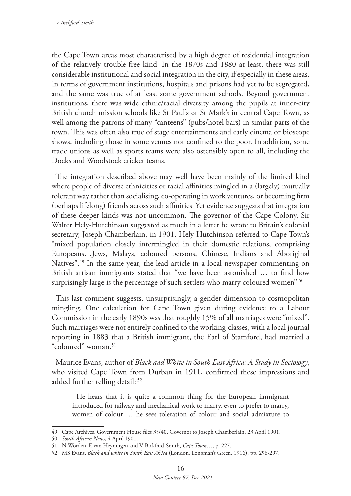the Cape Town areas most characterised by a high degree of residential integration of the relatively trouble-free kind. In the 1870s and 1880 at least, there was still considerable institutional and social integration in the city, if especially in these areas. In terms of government institutions, hospitals and prisons had yet to be segregated, and the same was true of at least some government schools. Beyond government institutions, there was wide ethnic/racial diversity among the pupils at inner-city British church mission schools like St Paul's or St Mark's in central Cape Town, as well among the patrons of many "canteens" (pubs/hotel bars) in similar parts of the town. This was often also true of stage entertainments and early cinema or bioscope shows, including those in some venues not confined to the poor. In addition, some trade unions as well as sports teams were also ostensibly open to all, including the Docks and Woodstock cricket teams.

The integration described above may well have been mainly of the limited kind where people of diverse ethnicities or racial affinities mingled in a (largely) mutually tolerant way rather than socialising, co-operating in work ventures, or becoming firm (perhaps lifelong) friends across such affinities. Yet evidence suggests that integration of these deeper kinds was not uncommon. The governor of the Cape Colony, Sir Walter Hely-Hutchinson suggested as much in a letter he wrote to Britain's colonial secretary, Joseph Chamberlain, in 1901. Hely-Hutchinson referred to Cape Town's "mixed population closely intermingled in their domestic relations, comprising Europeans…Jews, Malays, coloured persons, Chinese, Indians and Aboriginal Natives<sup>".49</sup> In the same year, the lead article in a local newspaper commenting on British artisan immigrants stated that "we have been astonished … to find how surprisingly large is the percentage of such settlers who marry coloured women".<sup>50</sup>

This last comment suggests, unsurprisingly, a gender dimension to cosmopolitan mingling. One calculation for Cape Town given during evidence to a Labour Commission in the early 1890s was that roughly 15% of all marriages were "mixed". Such marriages were not entirely confined to the working-classes, with a local journal reporting in 1883 that a British immigrant, the Earl of Stamford, had married a "coloured" woman.<sup>51</sup>

Maurice Evans, author of *Black and White in South East Africa: A Study in Sociology*, who visited Cape Town from Durban in 1911, confirmed these impressions and added further telling detail: 52

He hears that it is quite a common thing for the European immigrant introduced for railway and mechanical work to marry, even to prefer to marry, women of colour … he sees toleration of colour and social admixture to

<sup>49</sup> Cape Archives, Government House files 35/40, Governor to Joseph Chamberlain, 23 April 1901.

<sup>50</sup> *South African News*, 4 April 1901.

<sup>51</sup> N Worden, E van Heyningen and V Bickford-Smith, *Cape Town*…, p. 227.

<sup>52</sup> MS Evans, *Black and white in South East Africa* (London, Longman's Green, 1916), pp. 296-297.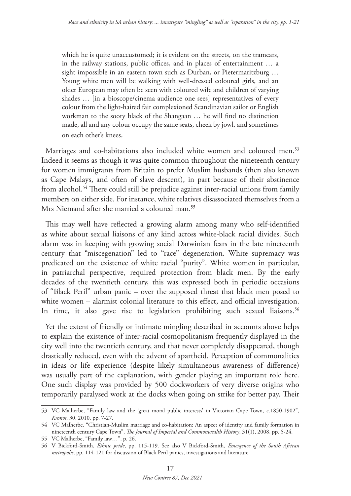which he is quite unaccustomed; it is evident on the streets, on the tramcars, in the railway stations, public offices, and in places of entertainment … a sight impossible in an eastern town such as Durban, or Pietermaritzburg ... Young white men will be walking with well-dressed coloured girls, and an older European may often be seen with coloured wife and children of varying shades … [in a bioscope/cinema audience one sees] representatives of every colour from the light-haired fair complexioned Scandinavian sailor or English workman to the sooty black of the Shangaan … he will find no distinction made, all and any colour occupy the same seats, cheek by jowl, and sometimes on each other's knees.

Marriages and co-habitations also included white women and coloured men.<sup>53</sup> Indeed it seems as though it was quite common throughout the nineteenth century for women immigrants from Britain to prefer Muslim husbands (then also known as Cape Malays, and often of slave descent), in part because of their abstinence from alcohol.<sup>54</sup> There could still be prejudice against inter-racial unions from family members on either side. For instance, white relatives disassociated themselves from a Mrs Niemand after she married a coloured man.55

This may well have reflected a growing alarm among many who self-identified as white about sexual liaisons of any kind across white-black racial divides. Such alarm was in keeping with growing social Darwinian fears in the late nineteenth century that "miscegenation" led to "race" degeneration. White supremacy was predicated on the existence of white racial "purity". White women in particular, in patriarchal perspective, required protection from black men. By the early decades of the twentieth century, this was expressed both in periodic occasions of "Black Peril" urban panic – over the supposed threat that black men posed to white women – alarmist colonial literature to this effect, and official investigation. In time, it also gave rise to legislation prohibiting such sexual liaisons.<sup>56</sup>

Yet the extent of friendly or intimate mingling described in accounts above helps to explain the existence of inter-racial cosmopolitanism frequently displayed in the city well into the twentieth century, and that never completely disappeared, though drastically reduced, even with the advent of apartheid. Perception of commonalities in ideas or life experience (despite likely simultaneous awareness of difference) was usually part of the explanation, with gender playing an important role here. One such display was provided by 500 dockworkers of very diverse origins who temporarily paralysed work at the docks when going on strike for better pay. Their

<sup>53</sup> VC Malherbe, "Family law and the 'great moral public interests' in Victorian Cape Town, c.1850-1902", *Kronos*, 30, 2010, pp. 7-27.

<sup>54</sup> VC Malherbe, "Christian-Muslim marriage and co-habitation: An aspect of identity and family formation in nineteenth century Cape Town", *The Journal of Imperial and Commonwealth History*, 31(1), 2008, pp. 5-24.

<sup>55</sup> VC Malherbe, "Family law…", p. 26.

<sup>56</sup> V Bickford-Smith, *Ethnic pride*, pp. 115-119. See also V Bickford-Smith, *Emergence of the South African metropolis*, pp. 114-121 for discussion of Black Peril panics, investigations and literature.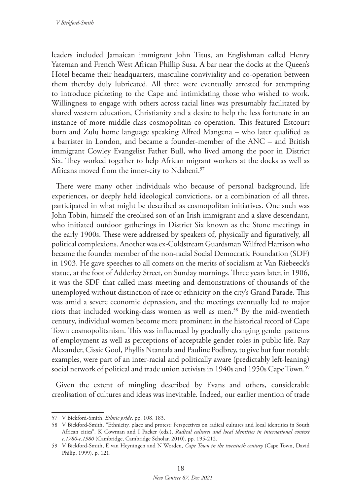leaders included Jamaican immigrant John Titus, an Englishman called Henry Yateman and French West African Phillip Susa. A bar near the docks at the Queen's Hotel became their headquarters, masculine conviviality and co-operation between them thereby duly lubricated. All three were eventually arrested for attempting to introduce picketing to the Cape and intimidating those who wished to work. Willingness to engage with others across racial lines was presumably facilitated by shared western education, Christianity and a desire to help the less fortunate in an instance of more middle-class cosmopolitan co-operation. This featured Estcourt born and Zulu home language speaking Alfred Mangena – who later qualified as a barrister in London, and became a founder-member of the ANC – and British immigrant Cowley Evangelist Father Bull, who lived among the poor in District Six. They worked together to help African migrant workers at the docks as well as Africans moved from the inner-city to Ndabeni.<sup>57</sup>

There were many other individuals who because of personal background, life experiences, or deeply held ideological convictions, or a combination of all three, participated in what might be described as cosmopolitan initiatives. One such was John Tobin, himself the creolised son of an Irish immigrant and a slave descendant, who initiated outdoor gatherings in District Six known as the Stone meetings in the early 1900s. These were addressed by speakers of, physically and figuratively, all political complexions. Another was ex-Coldstream Guardsman Wilfred Harrison who became the founder member of the non-racial Social Democratic Foundation (SDF) in 1903. He gave speeches to all comers on the merits of socialism at Van Riebeeck's statue, at the foot of Adderley Street, on Sunday mornings. Three years later, in 1906, it was the SDF that called mass meeting and demonstrations of thousands of the unemployed without distinction of race or ethnicity on the city's Grand Parade. This was amid a severe economic depression, and the meetings eventually led to major riots that included working-class women as well as men.58 By the mid-twentieth century, individual women become more prominent in the historical record of Cape Town cosmopolitanism. This was influenced by gradually changing gender patterns of employment as well as perceptions of acceptable gender roles in public life. Ray Alexander, Cissie Gool, Phyllis Ntantala and Pauline Podbrey, to give but four notable examples, were part of an inter-racial and politically aware (predictably left-leaning) social network of political and trade union activists in 1940s and 1950s Cape Town.<sup>59</sup>

Given the extent of mingling described by Evans and others, considerable creolisation of cultures and ideas was inevitable. Indeed, our earlier mention of trade

<sup>57</sup> V Bickford-Smith, *Ethnic pride*, pp. 108, 183.

<sup>58</sup> V Bickford-Smith, "Ethnicity, place and protest: Perspectives on radical cultures and local identities in South African cities", K Cowman and I Packer (eds.), *Radical cultures and local identities in international context c.1780-c.1980* (Cambridge, Cambridge Scholar, 2010), pp. 195-212.

<sup>59</sup> V Bickford-Smith, E van Heyningen and N Worden, *Cape Town in the twentieth century* (Cape Town, David Philip, 1999), p. 121.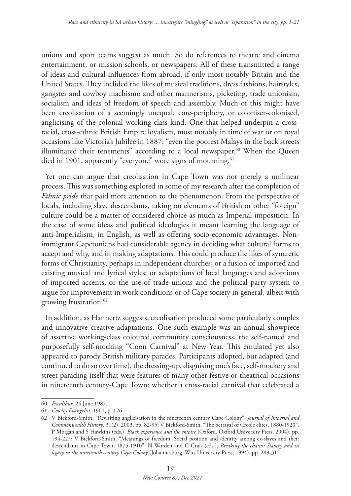unions and sport teams suggest as much. So do references to theatre and cinema entertainment, or mission schools, or newspapers. All of these transmitted a range of ideas and cultural influences from abroad, if only most notably Britain and the United States. They inclided the likes of musical traditions, dress fashions, hairstyles, gangster and cowboy machismo and other mannerisms, picketing, trade unionism, socialism and ideas of freedom of speech and assembly. Much of this might have been creolisation of a seemingly unequal, core-periphery, or coloniser-colonised, anglicising of the colonial working-class kind. One that helped underpin a crossracial, cross-ethnic British Empire loyalism, most notably in time of war or on royal occasions like Victoria's Jubilee in 1887: "even the poorest Malays in the back streets illuminated their tenements" according to a local newspaper.<sup>60</sup> When the Queen died in 1901, apparently "everyone" wore signs of mourning.<sup>61</sup>

Yet one can argue that creolisation in Cape Town was not merely a unilinear process. This was something explored in some of my research after the completion of *Ethnic pride* that paid more attention to the phenomenon. From the perspective of locals, including slave descendants, taking on elements of British or other "foreign" culture could be a matter of considered choice as much as Imperial imposition. In the case of some ideas and political ideologies it meant learning the language of anti-Imperialism, in English, as well as offering socio-economic advantages. Nonimmigrant Capetonians had considerable agency in deciding what cultural forms to accept and why, and in making adaptations. This could produce the likes of syncretic forms of Christianity, perhaps in independent churches; or a fusion of imported and existing musical and lyrical styles; or adaptations of local languages and adoptions of imported accents; or the use of trade unions and the political party system to argue for improvement in work conditions or of Cape society in general, albeit with growing frustration.<sup>62</sup>

In addition, as Hannertz suggests, creolisation produced some particularly complex and innovative creative adaptations. One such example was an annual showpiece of assertive working-class coloured community consciousness, the self-named and purposefully self-mocking "Coon Carnival" at New Year. This emulated yet also appeared to parody British military parades. Participants adopted, but adapted (and continued to do so over time), the dressing-up, disguising one's face, self-mockery and street parading itself that were features of many other festive or theatrical occasions in nineteenth century-Cape Town: whether a cross-racial carnival that celebrated a

<sup>60</sup> *Excalibur*, 24 June 1987.

<sup>61</sup> *Cowley Evangelist*, 1901, p. 126.

<sup>62</sup> V Bickford-Smith, "Revisiting anglicisation in the nineteenth century Cape Colony", *Journal of Imperial and Commonwealth History*, 31(2), 2003, pp. 82-95; V Bickford-Smith, "The betrayal of Creole elites, 1880-1920", P Morgan and S Hawkins (eds.), *Black experience and the empire* (Oxford, Oxford University Press, 2004), pp. 194-227; V Bickford-Smith, "Meanings of freedom: Social position and identity among ex-slaves and their descendants in Cape Town, 1875-1910", N Worden and C Crais (eds.), *Breaking the chains: Slavery and its legacy in the nineteenth century Cape Colony* (Johannesburg, Wits University Press, 1994), pp. 289-312.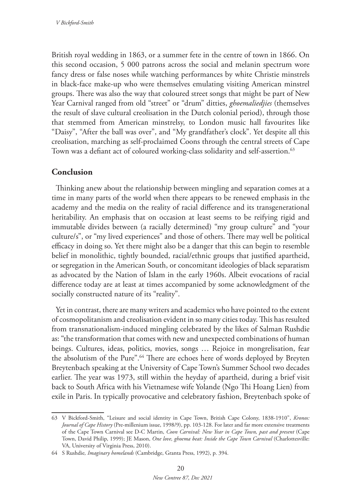British royal wedding in 1863, or a summer fete in the centre of town in 1866. On this second occasion, 5 000 patrons across the social and melanin spectrum wore fancy dress or false noses while watching performances by white Christie minstrels in black-face make-up who were themselves emulating visiting American minstrel groups. There was also the way that coloured street songs that might be part of New Year Carnival ranged from old "street" or "drum" ditties, *ghoemaliedjies* (themselves the result of slave cultural creolisation in the Dutch colonial period), through those that stemmed from American minstrelsy, to London music hall favourites like "Daisy", "After the ball was over", and "My grandfather's clock". Yet despite all this creolisation, marching as self-proclaimed Coons through the central streets of Cape Town was a defiant act of coloured working-class solidarity and self-assertion.<sup>63</sup>

## **Conclusion**

Thinking anew about the relationship between mingling and separation comes at a time in many parts of the world when there appears to be renewed emphasis in the academy and the media on the reality of racial difference and its transgenerational heritability. An emphasis that on occasion at least seems to be reifying rigid and immutable divides between (a racially determined) "my group culture" and "your culture/s", or "my lived experiences" and those of others. There may well be political efficacy in doing so. Yet there might also be a danger that this can begin to resemble belief in monolithic, tightly bounded, racial/ethnic groups that justified apartheid, or segregation in the American South, or concomitant ideologies of black separatism as advocated by the Nation of Islam in the early 1960s. Albeit evocations of racial difference today are at least at times accompanied by some acknowledgment of the socially constructed nature of its "reality".

Yet in contrast, there are many writers and academics who have pointed to the extent of cosmopolitanism and creolisation evident in so many cities today. This has resulted from transnationalism-induced mingling celebrated by the likes of Salman Rushdie as: "the transformation that comes with new and unexpected combinations of human beings. Cultures, ideas, politics, movies, songs … Rejoice in mongrelisation, fear the absolutism of the Pure".<sup>64</sup> There are echoes here of words deployed by Breyten Breytenbach speaking at the University of Cape Town's Summer School two decades earlier. The year was 1973, still within the heyday of apartheid, during a brief visit back to South Africa with his Vietnamese wife Yolande (Ngo Thi Hoang Lien) from exile in Paris. In typically provocative and celebratory fashion, Breytenbach spoke of

<sup>63</sup> V Bickford-Smith, "Leisure and social identity in Cape Town, British Cape Colony, 1838-1910", *Kronos: Journal of Cape History* (Pre-millenium issue, 1998/9), pp. 103-128. For later and far more extensive treatments of the Cape Town Carnival see D-C Martin, *Coon Carnival: New Year in Cape Town, past and present* (Cape Town, David Philip, 1999); JE Mason, *One love, ghoema beat: Inside the Cape Town Carnival* (Charlottesville: VA, University of Virginia Press, 2010).

<sup>64</sup> S Rushdie*, Imaginary homelands* (Cambridge, Granta Press, 1992), p. 394.